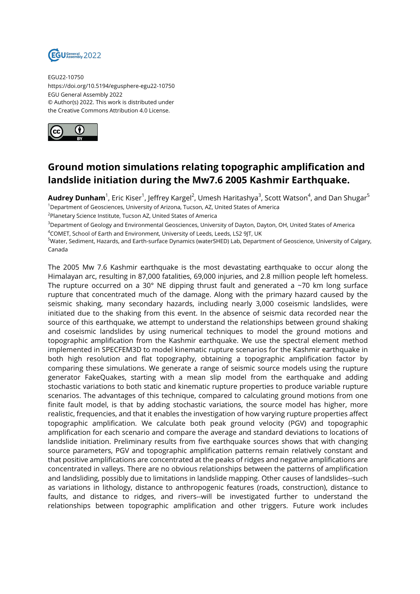

EGU22-10750 https://doi.org/10.5194/egusphere-egu22-10750 EGU General Assembly 2022 © Author(s) 2022. This work is distributed under the Creative Commons Attribution 4.0 License.



## **Ground motion simulations relating topographic amplification and landslide initiation during the Mw7.6 2005 Kashmir Earthquake.**

 ${\sf Author}$   ${\sf Dunham}^1$ , Eric Kiser $^1$ , Jeffrey Kargel $^2$ , Umesh Haritashya $^3$ , Scott Watson $^4$ , and Dan Shugar $^5$ <sup>1</sup>Department of Geosciences, University of Arizona, Tucson, AZ, United States of America

 $^{2}$ Planetary Science Institute, Tucson AZ, United States of America

<sup>3</sup>Department of Geology and Environmental Geosciences, University of Dayton, Dayton, OH, United States of America <sup>4</sup>COMET, School of Earth and Environment, University of Leeds, Leeds, LS2 9JT, UK

<sup>5</sup>Water, Sediment, Hazards, and Earth-surface Dynamics (waterSHED) Lab, Department of Geoscience, University of Calgary, Canada

The 2005 Mw 7.6 Kashmir earthquake is the most devastating earthquake to occur along the Himalayan arc, resulting in 87,000 fatalities, 69,000 injuries, and 2.8 million people left homeless. The rupture occurred on a 30 $^{\circ}$  NE dipping thrust fault and generated a ~70 km long surface rupture that concentrated much of the damage. Along with the primary hazard caused by the seismic shaking, many secondary hazards, including nearly 3,000 coseismic landslides, were initiated due to the shaking from this event. In the absence of seismic data recorded near the source of this earthquake, we attempt to understand the relationships between ground shaking and coseismic landslides by using numerical techniques to model the ground motions and topographic amplification from the Kashmir earthquake. We use the spectral element method implemented in SPECFEM3D to model kinematic rupture scenarios for the Kashmir earthquake in both high resolution and flat topography, obtaining a topographic amplification factor by comparing these simulations. We generate a range of seismic source models using the rupture generator FakeQuakes, starting with a mean slip model from the earthquake and adding stochastic variations to both static and kinematic rupture properties to produce variable rupture scenarios. The advantages of this technique, compared to calculating ground motions from one finite fault model, is that by adding stochastic variations, the source model has higher, more realistic, frequencies, and that it enables the investigation of how varying rupture properties affect topographic amplification. We calculate both peak ground velocity (PGV) and topographic amplification for each scenario and compare the average and standard deviations to locations of landslide initiation. Preliminary results from five earthquake sources shows that with changing source parameters, PGV and topographic amplification patterns remain relatively constant and that positive amplifications are concentrated at the peaks of ridges and negative amplifications are concentrated in valleys. There are no obvious relationships between the patterns of amplification and landsliding, possibly due to limitations in landslide mapping. Other causes of landslides--such as variations in lithology, distance to anthropogenic features (roads, construction), distance to faults, and distance to ridges, and rivers--will be investigated further to understand the relationships between topographic amplification and other triggers. Future work includes